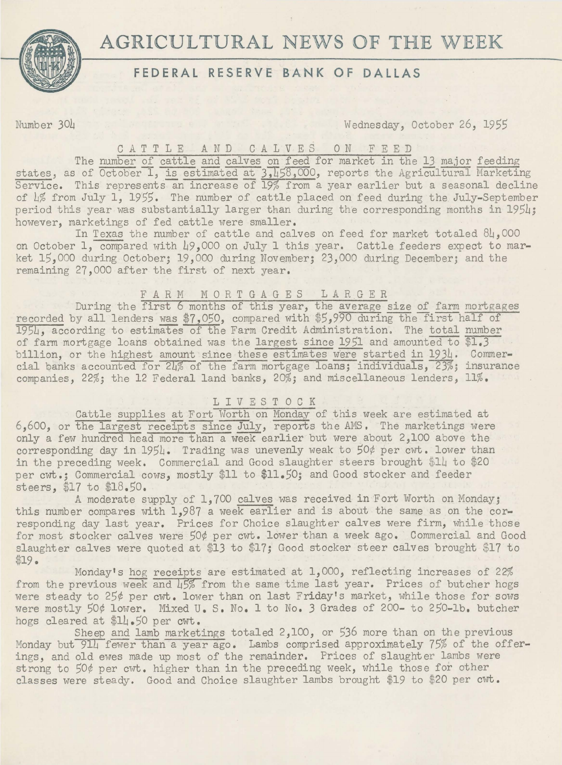# **AGRICULTURAL** NEWS OF **THE** WEEK



## **FEDERAL RESERVE BANK OF DALLAS**

## Number 304 Wednesday, October 26, 1955

#### CATTLE AND CALVES 0 N F E E D

The number of cattle and calves on feed for market in the 13 major feeding states, as of October 1, is estimated at  $3,158,000$ , reports the Agricultural Marketing Service. This represents an increase of 19% from a year earlier but a seasonal decline of L% from July 1, 1955. The number of cattle placed on feed during the July-September period this year was substantially larger than during the corresponding months in 1954; however, marketings of fed cattle were smaller.

In Texas the number of cattle and calves on feed for market totaled  $84,000$ on October 1, compared with 49,000 on July 1 this year. Cattle feeders expect to market 15,000 during October; 19,000 during November; 23,000 during December; and the remaining 27,000 after the first of next year.

#### FARM MORTGAGES LARGER

During the first 6 months of this year, the average size of farm mortgages recorded by all lenders was \$7,050, compared with \$5,990 during the first half of 19SL, according to estimates of the Farm Credit Administration. The total number of farm mortgage loans obtained was the largest since 1951 and amounted to \$1.3 billion, or the highest amount since these estimates were started in 1934. Commercial banks accounted for 24% of the farm mortgage loans; individuals, 23%; insurance companies, 22%; the 12 Federal land banks, 20%; and miscellaneous lenders, 11%.

#### LIVESTOCK

Cattle supplies at Fort Worth on Monday of this week are estimated at 6,600, or the largest receipts since July, reports the AMS. The marketings were only a few hundred head more than a week earlier but were about 2,100 above the corresponding day in 1954. Trading was unevenly weak to 50¢ per cwt. lower than in the preceding week. Commercial and Good slaughter steers brought \$14 to \$20 per cwt.; Commercial cows, mostly \$11 to \$11.50; and Good stocker and feeder steers, \$17 to \$18.50.

A moderate supply of 1,700 calves was received in Fort Worth on Monday; this number compares with 1,987 a week earlier and is about the same as on the corresponding day last year. Prices for Choice slaughter calves were firm, while those for most stocker calves were 50¢ per cwt. lower than a week ago. Commercial and Good slaughter calves were quoted at \$13 to \$17; Good stocker steer calves brought \$17 to \$19.

Monday's hog receipts are estimated at 1,000, reflecting increases of 22% from the previous week and 45% from the same time last year. Prices of butcher hogs were steady to 25¢ per cwt. lower than on last Friday's market, while those for sows were mostly 50¢ lower. Mixed U.S. No. 1 to No. 3 Grades of 200- to 250-lb. butcher hogs cleared at \$14.50 per cwt.

Sheep and lamb marketings totaled 2,100, or 536 more than on the previous Monday but 914 fewer than a year ago. Lambs comprised approximately 75% of the offerings, and old ewes made up most of the remainder. Prices of slaughter lambs were strong to 50¢ per cwt. higher than in the preceding week, while those for other classes were steady. Good and Choice slaughter lambs brought \$19 to \$20 per cwt.